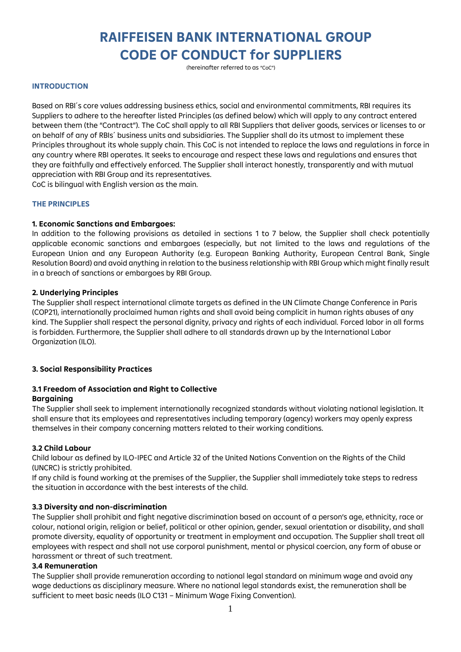# **RAIFFEISEN BANK INTERNATIONAL GROUP CODE OF CONDUCT for SUPPLIERS**

(hereinafter referred to as "CoC")

#### **INTRODUCTION**

Based on RBI´s core values addressing business ethics, social and environmental commitments, RBI requires its Suppliers to adhere to the hereafter listed Principles (as defined below) which will apply to any contract entered between them (the "Contract"). The CoC shall apply to all RBI Suppliers that deliver goods, services or licenses to or on behalf of any of RBIs´ business units and subsidiaries. The Supplier shall do its utmost to implement these Principles throughout its whole supply chain. This CoC is not intended to replace the laws and regulations in force in any country where RBI operates. It seeks to encourage and respect these laws and regulations and ensures that they are faithfully and effectively enforced. The Supplier shall interact honestly, transparently and with mutual appreciation with RBI Group and its representatives.

CoC is bilingual with English version as the main.

#### **THE PRINCIPLES**

#### **1. Economic Sanctions and Embargoes:**

In addition to the following provisions as detailed in sections 1 to 7 below, the Supplier shall check potentially applicable economic sanctions and embargoes (especially, but not limited to the laws and regulations of the European Union and any European Authority (e.g. European Banking Authority, European Central Bank, Single Resolution Board) and avoid anything in relation to the business relationship with RBI Group which might finally result in a breach of sanctions or embargoes by RBI Group.

#### **2. Underlying Principles**

The Supplier shall respect international climate targets as defined in the UN Climate Change Conference in Paris (COP21), internationally proclaimed human rights and shall avoid being complicit in human rights abuses of any kind. The Supplier shall respect the personal dignity, privacy and rights of each individual. Forced labor in all forms is forbidden. Furthermore, the Supplier shall adhere to all standards drawn up by the International Labor Organization (ILO).

## **3. Social Responsibility Practices**

## **3.1 Freedom of Association and Right to Collective Bargaining**

The Supplier shall seek to implement internationally recognized standards without violating national legislation. It shall ensure that its employees and representatives including temporary (agency) workers may openly express themselves in their company concerning matters related to their working conditions.

#### **3.2 Child Labour**

Child labour as defined by ILO-IPEC and Article 32 of the United Nations Convention on the Rights of the Child (UNCRC) is strictly prohibited.

If any child is found working at the premises of the Supplier, the Supplier shall immediately take steps to redress the situation in accordance with the best interests of the child.

## **3.3 Diversity and non-discrimination**

The Supplier shall prohibit and fight negative discrimination based on account of a person's age, ethnicity, race or colour, national origin, religion or belief, political or other opinion, gender, sexual orientation or disability, and shall promote diversity, equality of opportunity or treatment in employment and occupation. The Supplier shall treat all employees with respect and shall not use corporal punishment, mental or physical coercion, any form of abuse or harassment or threat of such treatment.

#### **3.4 Remuneration**

The Supplier shall provide remuneration according to national legal standard on minimum wage and avoid any wage deductions as disciplinary measure. Where no national legal standards exist, the remuneration shall be sufficient to meet basic needs (ILO C131 – Minimum Wage Fixing Convention).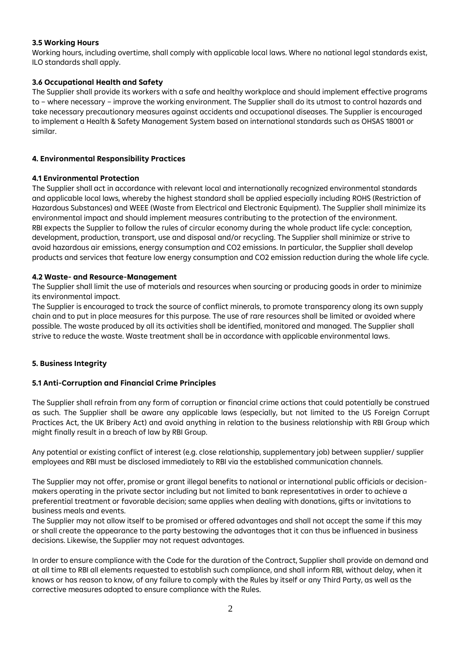## **3.5 Working Hours**

Working hours, including overtime, shall comply with applicable local laws. Where no national legal standards exist, ILO standards shall apply.

## **3.6 Occupational Health and Safety**

The Supplier shall provide its workers with a safe and healthy workplace and should implement effective programs to – where necessary – improve the working environment. The Supplier shall do its utmost to control hazards and take necessary precautionary measures against accidents and occupational diseases. The Supplier is encouraged to implement a Health & Safety Management System based on international standards such as OHSAS 18001 or similar.

## **4. Environmental Responsibility Practices**

## **4.1 Environmental Protection**

The Supplier shall act in accordance with relevant local and internationally recognized environmental standards and applicable local laws, whereby the highest standard shall be applied especially including ROHS (Restriction of Hazardous Substances) and WEEE (Waste from Electrical and Electronic Equipment). The Supplier shall minimize its environmental impact and should implement measures contributing to the protection of the environment. RBI expects the Supplier to follow the rules of circular economy during the whole product life cycle: conception, development, production, transport, use and disposal and/or recycling. The Supplier shall minimize or strive to avoid hazardous air emissions, energy consumption and CO2 emissions. In particular, the Supplier shall develop products and services that feature low energy consumption and CO2 emission reduction during the whole life cycle.

## **4.2 Waste- and Resource-Management**

The Supplier shall limit the use of materials and resources when sourcing or producing goods in order to minimize its environmental impact.

The Supplier is encouraged to track the source of conflict minerals, to promote transparency along its own supply chain and to put in place measures for this purpose. The use of rare resources shall be limited or avoided where possible. The waste produced by all its activities shall be identified, monitored and managed. The Supplier shall strive to reduce the waste. Waste treatment shall be in accordance with applicable environmental laws.

## **5. Business Integrity**

## **5.1 Anti-Corruption and Financial Crime Principles**

The Supplier shall refrain from any form of corruption or financial crime actions that could potentially be construed as such. The Supplier shall be aware any applicable laws (especially, but not limited to the US Foreign Corrupt Practices Act, the UK Bribery Act) and avoid anything in relation to the business relationship with RBI Group which might finally result in a breach of law by RBI Group.

Any potential or existing conflict of interest (e.g. close relationship, supplementary job) between supplier/ supplier employees and RBI must be disclosed immediately to RBI via the established communication channels.

The Supplier may not offer, promise or grant illegal benefits to national or international public officials or decisionmakers operating in the private sector including but not limited to bank representatives in order to achieve a preferential treatment or favorable decision; same applies when dealing with donations, gifts or invitations to business meals and events.

The Supplier may not allow itself to be promised or offered advantages and shall not accept the same if this may or shall create the appearance to the party bestowing the advantages that it can thus be influenced in business decisions. Likewise, the Supplier may not request advantages.

In order to ensure compliance with the Code for the duration of the Contract, Supplier shall provide on demand and at all time to RBI all elements requested to establish such compliance, and shall inform RBI, without delay, when it knows or has reason to know, of any failure to comply with the Rules by itself or any Third Party, as well as the corrective measures adopted to ensure compliance with the Rules.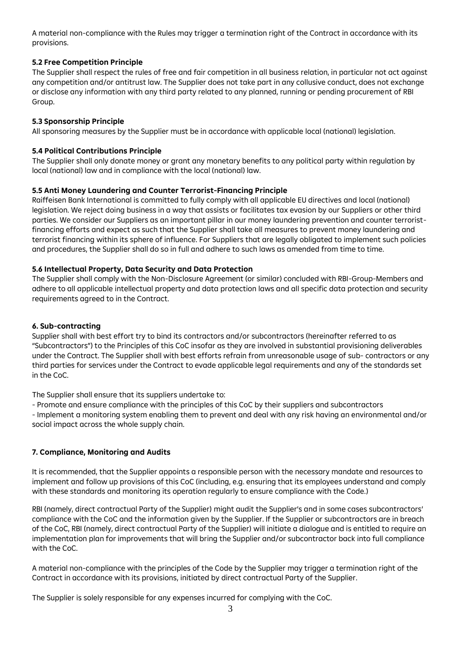A material non-compliance with the Rules may trigger a termination right of the Contract in accordance with its provisions.

## **5.2 Free Competition Principle**

The Supplier shall respect the rules of free and fair competition in all business relation, in particular not act against any competition and/or antitrust law. The Supplier does not take part in any collusive conduct, does not exchange or disclose any information with any third party related to any planned, running or pending procurement of RBI Group.

# **5.3 Sponsorship Principle**

All sponsoring measures by the Supplier must be in accordance with applicable local (national) legislation.

# **5.4 Political Contributions Principle**

The Supplier shall only donate money or grant any monetary benefits to any political party within regulation by local (national) law and in compliance with the local (national) law.

# **5.5 Anti Money Laundering and Counter Terrorist-Financing Principle**

Raiffeisen Bank International is committed to fully comply with all applicable EU directives and local (national) legislation. We reject doing business in a way that assists or facilitates tax evasion by our Suppliers or other third parties. We consider our Suppliers as an important pillar in our money laundering prevention and counter terroristfinancing efforts and expect as such that the Supplier shall take all measures to prevent money laundering and terrorist financing within its sphere of influence. For Suppliers that are legally obligated to implement such policies and procedures, the Supplier shall do so in full and adhere to such laws as amended from time to time.

# **5.6 Intellectual Property, Data Security and Data Protection**

The Supplier shall comply with the Non-Disclosure Agreement (or similar) concluded with RBI-Group-Members and adhere to all applicable intellectual property and data protection laws and all specific data protection and security requirements agreed to in the Contract.

# **6. Sub-contracting**

Supplier shall with best effort try to bind its contractors and/or subcontractors (hereinafter referred to as "Subcontractors") to the Principles of this CoC insofar as they are involved in substantial provisioning deliverables under the Contract. The Supplier shall with best efforts refrain from unreasonable usage of sub- contractors or any third parties for services under the Contract to evade applicable legal requirements and any of the standards set in the CoC.

The Supplier shall ensure that its suppliers undertake to:

- Promote and ensure compliance with the principles of this CoC by their suppliers and subcontractors

- Implement a monitoring system enabling them to prevent and deal with any risk having an environmental and/or social impact across the whole supply chain.

# **7. Compliance, Monitoring and Audits**

It is recommended, that the Supplier appoints a responsible person with the necessary mandate and resources to implement and follow up provisions of this CoC (including, e.g. ensuring that its employees understand and comply with these standards and monitoring its operation regularly to ensure compliance with the Code.)

RBI (namely, direct contractual Party of the Supplier) might audit the Supplier's and in some cases subcontractors' compliance with the CoC and the information given by the Supplier. If the Supplier or subcontractors are in breach of the CoC, RBI (namely, direct contractual Party of the Supplier) will initiate a dialogue and is entitled to require an implementation plan for improvements that will bring the Supplier and/or subcontractor back into full compliance with the CoC.

A material non-compliance with the principles of the Code by the Supplier may trigger a termination right of the Contract in accordance with its provisions, initiated by direct contractual Party of the Supplier.

The Supplier is solely responsible for any expenses incurred for complying with the CoC.